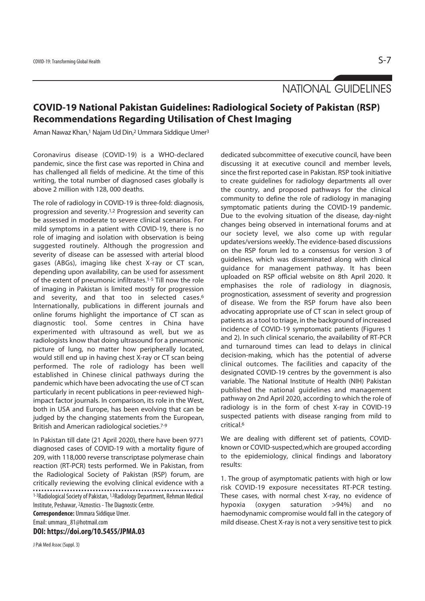NATIONAL GUIDELINES

## **COVID-19 National Pakistan Guidelines: Radiological Society of Pakistan (RSP) Recommendations Regarding Utilisation of Chest Imaging**

Aman Nawaz Khan,<sup>1</sup> Najam Ud Din,<sup>2</sup> Ummara Siddique Umer<sup>3</sup>

Coronavirus disease (COVID-19) is a WHO-declared pandemic, since the first case was reported in China and has challenged all fields of medicine. At the time of this writing, the total number of diagnosed cases globally is above 2 million with 128, 000 deaths.

The role of radiology in COVID-19 is three-fold: diagnosis, progression and severity.1,2 Progression and severity can be assessed in moderate to severe clinical scenarios. For mild symptoms in a patient with COVID-19, there is no role of imaging and isolation with observation is being suggested routinely. Although the progression and severity of disease can be assessed with arterial blood gases (ABGs), imaging like chest X-ray or CT scan, depending upon availability, can be used for assessment of the extent of pneumonic infiltrates.1-5 Till now the role of imaging in Pakistan is limited mostly for progression and severity, and that too in selected cases.6 Internationally, publications in different journals and online forums highlight the importance of CT scan as diagnostic tool. Some centres in China have experimented with ultrasound as well, but we as radiologists know that doing ultrasound for a pneumonic picture of lung, no matter how peripherally located, would still end up in having chest X-ray or CT scan being performed. The role of radiology has been well established in Chinese clinical pathways during the pandemic which have been advocating the use of CT scan particularly in recent publications in peer-reviewed highimpact factor journals. In comparison, its role in the West, both in USA and Europe, has been evolving that can be judged by the changing statements from the European, British and American radiological societies.7-9

In Pakistan till date (21 April 2020), there have been 9771 diagnosed cases of COVID-19 with a mortality figure of 209, with 118,000 reverse transcriptase polymerase chain reaction (RT-PCR) tests performed. We in Pakistan, from the Radiological Society of Pakistan (RSP) forum, are critically reviewing the evolving clinical evidence with a 1-3Radiological Society of Pakistan, 1,3Radiology Department, Rehman Medical Institute, Peshawar, 2Aznostics - The Diagnostic Centre. **Correspondence:** Ummara Siddique Umer.

Email: ummara\_81@hotmail.com

**DOI: https://doi.org/10.5455/JPMA.03** 

J Pak Med Assoc (Suppl. 3)

dedicated subcommittee of executive council, have been discussing it at executive council and member levels, since the first reported case in Pakistan. RSP took initiative to create guidelines for radiology departments all over the country, and proposed pathways for the clinical community to define the role of radiology in managing symptomatic patients during the COVID-19 pandemic. Due to the evolving situation of the disease, day-night changes being observed in international forums and at our society level, we also come up with regular updates/versions weekly. The evidence-based discussions on the RSP forum led to a consensus for version 3 of guidelines, which was disseminated along with clinical guidance for management pathway. It has been uploaded on RSP official website on 8th April 2020. It emphasises the role of radiology in diagnosis, prognostication, assessment of severity and progression of disease. We from the RSP forum have also been advocating appropriate use of CT scan in select group of patients as a tool to triage, in the background of increased incidence of COVID-19 symptomatic patients (Figures 1 and 2). In such clinical scenario, the availability of RT-PCR and turnaround times can lead to delays in clinical decision-making, which has the potential of adverse clinical outcomes. The facilities and capacity of the designated COVID-19 centres by the government is also variable. The National Institute of Health (NIH) Pakistan published the national guidelines and management pathway on 2nd April 2020, according to which the role of radiology is in the form of chest X-ray in COVID-19 suspected patients with disease ranging from mild to critical.6

We are dealing with different set of patients, COVIDknown or COVID-suspected,which are grouped according to the epidemiology, clinical findings and laboratory results:

1. The group of asymptomatic patients with high or low risk COVID-19 exposure necessitates RT-PCR testing. These cases, with normal chest X-ray, no evidence of hypoxia (oxygen saturation >94%) and no haemodynamic compromise would fall in the category of mild disease. Chest X-ray is not a very sensitive test to pick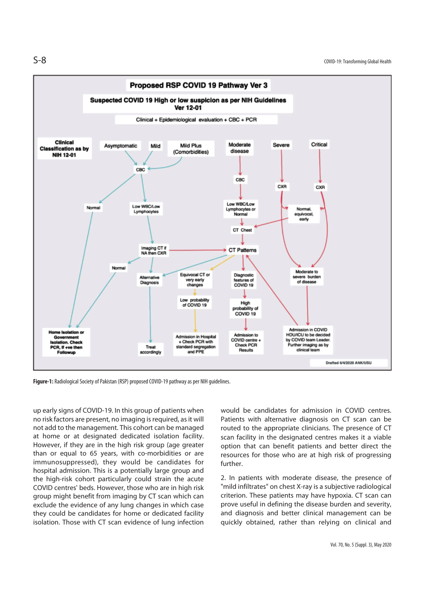

**Figure-1:** Radiological Society of Pakistan (RSP) proposed COVID-19 pathway as per NIH guidelines.

up early signs of COVID-19. In this group of patients when no risk factors are present, no imaging is required, as it will not add to the management. This cohort can be managed at home or at designated dedicated isolation facility. However, if they are in the high risk group (age greater than or equal to 65 years, with co-morbidities or are immunosuppressed), they would be candidates for hospital admission. This is a potentially large group and the high-risk cohort particularly could strain the acute COVID centres' beds. However, those who are in high risk group might benefit from imaging by CT scan which can exclude the evidence of any lung changes in which case they could be candidates for home or dedicated facility isolation. Those with CT scan evidence of lung infection

would be candidates for admission in COVID centres. Patients with alternative diagnosis on CT scan can be routed to the appropriate clinicians. The presence of CT scan facility in the designated centres makes it a viable option that can benefit patients and better direct the resources for those who are at high risk of progressing further.

2. In patients with moderate disease, the presence of "mild infiltrates" on chest X-ray is a subjective radiological criterion. These patients may have hypoxia. CT scan can prove useful in defining the disease burden and severity, and diagnosis and better clinical management can be quickly obtained, rather than relying on clinical and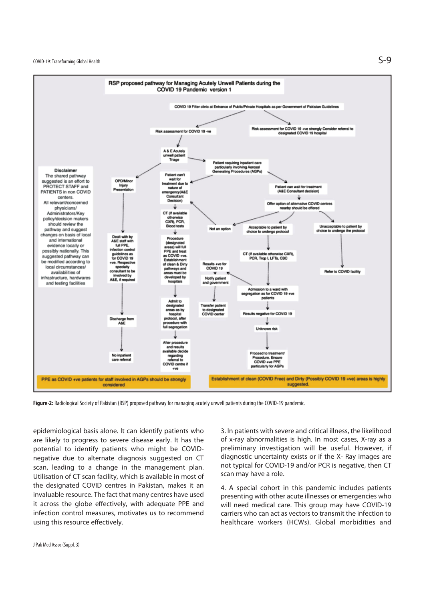$\mathsf{S}\text{-}\mathsf{9}$ 



**Figure-2:** Radiological Society of Pakistan (RSP) proposed pathway for managing acutely unwell patients during the COVID-19 pandemic.

epidemiological basis alone. It can identify patients who are likely to progress to severe disease early. It has the potential to identify patients who might be COVIDnegative due to alternate diagnosis suggested on CT scan, leading to a change in the management plan. Utilisation of CT scan facility, which is available in most of the designated COVID centres in Pakistan, makes it an invaluable resource. The fact that many centres have used it across the globe effectively, with adequate PPE and infection control measures, motivates us to recommend using this resource effectively.

3. In patients with severe and critical illness, the likelihood of x-ray abnormalities is high. In most cases, X-ray as a preliminary investigation will be useful. However, if diagnostic uncertainty exists or if the X- Ray images are not typical for COVID-19 and/or PCR is negative, then CT scan may have a role.

4. A special cohort in this pandemic includes patients presenting with other acute illnesses or emergencies who will need medical care. This group may have COVID-19 carriers who can act as vectors to transmit the infection to healthcare workers (HCWs). Global morbidities and